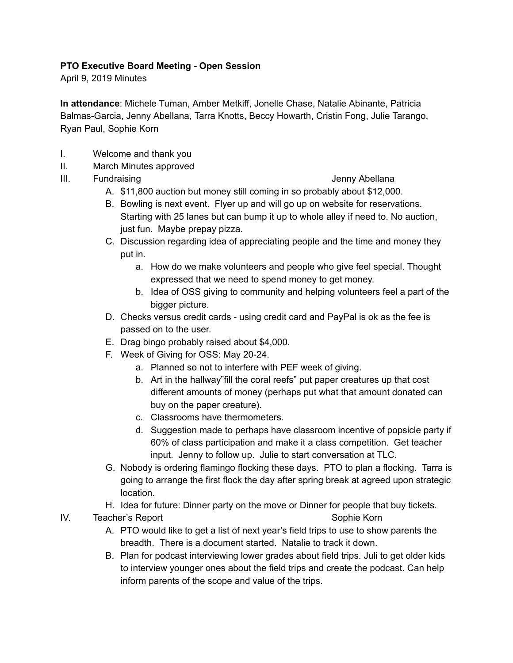## **PTO Executive Board Meeting - Open Session**

April 9, 2019 Minutes

**In attendance**: Michele Tuman, Amber Metkiff, Jonelle Chase, Natalie Abinante, Patricia Balmas-Garcia, Jenny Abellana, Tarra Knotts, Beccy Howarth, Cristin Fong, Julie Tarango, Ryan Paul, Sophie Korn

- I. Welcome and thank you
- II. March Minutes approved
- III. Fundraising **Jenny Abellana**

- A. \$11,800 auction but money still coming in so probably about \$12,000.
- B. Bowling is next event. Flyer up and will go up on website for reservations. Starting with 25 lanes but can bump it up to whole alley if need to. No auction, just fun. Maybe prepay pizza.
- C. Discussion regarding idea of appreciating people and the time and money they put in.
	- a. How do we make volunteers and people who give feel special. Thought expressed that we need to spend money to get money.
	- b. Idea of OSS giving to community and helping volunteers feel a part of the bigger picture.
- D. Checks versus credit cards using credit card and PayPal is ok as the fee is passed on to the user.
- E. Drag bingo probably raised about \$4,000.
- F. Week of Giving for OSS: May 20-24.
	- a. Planned so not to interfere with PEF week of giving.
	- b. Art in the hallway"fill the coral reefs" put paper creatures up that cost different amounts of money (perhaps put what that amount donated can buy on the paper creature).
	- c. Classrooms have thermometers.
	- d. Suggestion made to perhaps have classroom incentive of popsicle party if 60% of class participation and make it a class competition. Get teacher input. Jenny to follow up. Julie to start conversation at TLC.
- G. Nobody is ordering flamingo flocking these days. PTO to plan a flocking. Tarra is going to arrange the first flock the day after spring break at agreed upon strategic location.
- H. Idea for future: Dinner party on the move or Dinner for people that buy tickets.

IV. Teacher's Report Sophie Korn Sophie Korn

- A. PTO would like to get a list of next year's field trips to use to show parents the breadth. There is a document started. Natalie to track it down.
- B. Plan for podcast interviewing lower grades about field trips. Juli to get older kids to interview younger ones about the field trips and create the podcast. Can help inform parents of the scope and value of the trips.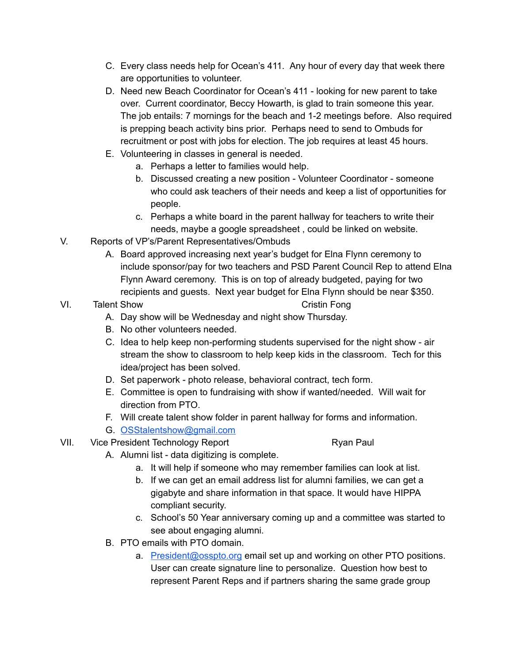- C. Every class needs help for Ocean's 411. Any hour of every day that week there are opportunities to volunteer.
- D. Need new Beach Coordinator for Ocean's 411 looking for new parent to take over. Current coordinator, Beccy Howarth, is glad to train someone this year. The job entails: 7 mornings for the beach and 1-2 meetings before. Also required is prepping beach activity bins prior. Perhaps need to send to Ombuds for recruitment or post with jobs for election. The job requires at least 45 hours.
- E. Volunteering in classes in general is needed.
	- a. Perhaps a letter to families would help.
	- b. Discussed creating a new position Volunteer Coordinator someone who could ask teachers of their needs and keep a list of opportunities for people.
	- c. Perhaps a white board in the parent hallway for teachers to write their needs, maybe a google spreadsheet , could be linked on website.
- V. Reports of VP's/Parent Representatives/Ombuds
	- A. Board approved increasing next year's budget for Elna Flynn ceremony to include sponsor/pay for two teachers and PSD Parent Council Rep to attend Elna Flynn Award ceremony. This is on top of already budgeted, paying for two recipients and guests. Next year budget for Elna Flynn should be near \$350.

## VI. Talent Show Cristin Fong

- A. Day show will be Wednesday and night show Thursday.
- B. No other volunteers needed.
- C. Idea to help keep non-performing students supervised for the night show air stream the show to classroom to help keep kids in the classroom. Tech for this idea/project has been solved.
- D. Set paperwork photo release, behavioral contract, tech form.
- E. Committee is open to fundraising with show if wanted/needed. Will wait for direction from PTO.
- F. Will create talent show folder in parent hallway for forms and information.
- G. [OSStalentshow@gmail.com](mailto:OSStalentshow@gmail.com)
- VII. Vice President Technology Report The Contract Ryan Paul

- A. Alumni list data digitizing is complete.
	- a. It will help if someone who may remember families can look at list.
	- b. If we can get an email address list for alumni families, we can get a gigabyte and share information in that space. It would have HIPPA compliant security.
	- c. School's 50 Year anniversary coming up and a committee was started to see about engaging alumni.
- B. PTO emails with PTO domain.
	- a. [President@osspto.org](mailto:President@osspto.org) email set up and working on other PTO positions. User can create signature line to personalize. Question how best to represent Parent Reps and if partners sharing the same grade group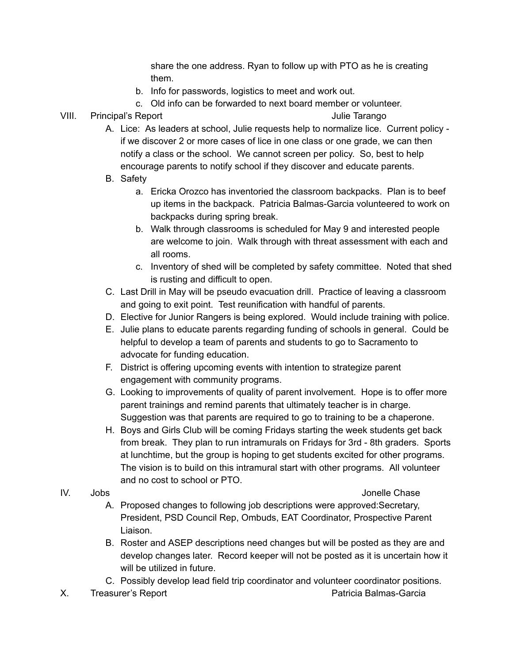share the one address. Ryan to follow up with PTO as he is creating them.

b. Info for passwords, logistics to meet and work out.

c. Old info can be forwarded to next board member or volunteer.

VIII. Principal's Report Julie Tarango

- 
- A. Lice: As leaders at school, Julie requests help to normalize lice. Current policy if we discover 2 or more cases of lice in one class or one grade, we can then notify a class or the school. We cannot screen per policy. So, best to help encourage parents to notify school if they discover and educate parents.
- B. Safety
	- a. Ericka Orozco has inventoried the classroom backpacks. Plan is to beef up items in the backpack. Patricia Balmas-Garcia volunteered to work on backpacks during spring break.
	- b. Walk through classrooms is scheduled for May 9 and interested people are welcome to join. Walk through with threat assessment with each and all rooms.
	- c. Inventory of shed will be completed by safety committee. Noted that shed is rusting and difficult to open.
- C. Last Drill in May will be pseudo evacuation drill. Practice of leaving a classroom and going to exit point. Test reunification with handful of parents.
- D. Elective for Junior Rangers is being explored. Would include training with police.
- E. Julie plans to educate parents regarding funding of schools in general. Could be helpful to develop a team of parents and students to go to Sacramento to advocate for funding education.
- F. District is offering upcoming events with intention to strategize parent engagement with community programs.
- G. Looking to improvements of quality of parent involvement. Hope is to offer more parent trainings and remind parents that ultimately teacher is in charge. Suggestion was that parents are required to go to training to be a chaperone.
- H. Boys and Girls Club will be coming Fridays starting the week students get back from break. They plan to run intramurals on Fridays for 3rd - 8th graders. Sports at lunchtime, but the group is hoping to get students excited for other programs. The vision is to build on this intramural start with other programs. All volunteer and no cost to school or PTO.
- 

# IV. Jobs Jonelle Chase

- A. Proposed changes to following job descriptions were approved:Secretary, President, PSD Council Rep, Ombuds, EAT Coordinator, Prospective Parent Liaison.
- B. Roster and ASEP descriptions need changes but will be posted as they are and develop changes later. Record keeper will not be posted as it is uncertain how it will be utilized in future.
- C. Possibly develop lead field trip coordinator and volunteer coordinator positions.
- X. Treasurer's Report **Patricia Balmas-Garcia** Patricia Balmas-Garcia